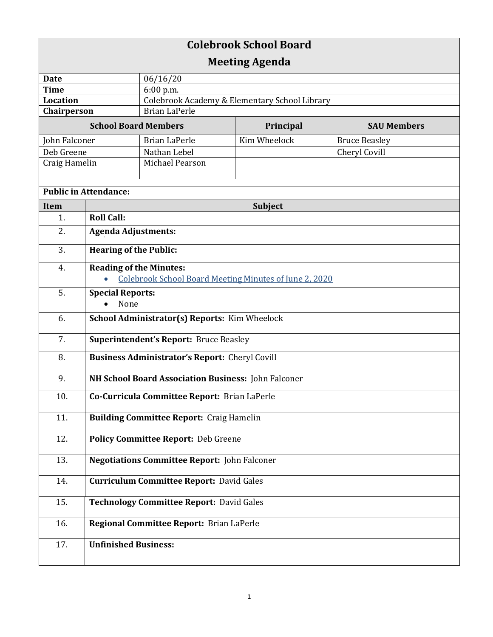| <b>Colebrook School Board</b> |                                                                                          |                                                     |              |                      |  |
|-------------------------------|------------------------------------------------------------------------------------------|-----------------------------------------------------|--------------|----------------------|--|
| <b>Meeting Agenda</b>         |                                                                                          |                                                     |              |                      |  |
| <b>Date</b>                   |                                                                                          | 06/16/20                                            |              |                      |  |
| <b>Time</b>                   |                                                                                          | 6:00 p.m.                                           |              |                      |  |
| <b>Location</b>               |                                                                                          | Colebrook Academy & Elementary School Library       |              |                      |  |
| Chairperson                   |                                                                                          | <b>Brian LaPerle</b>                                |              |                      |  |
| <b>School Board Members</b>   |                                                                                          |                                                     | Principal    | <b>SAU Members</b>   |  |
| John Falconer                 |                                                                                          | <b>Brian LaPerle</b>                                | Kim Wheelock | <b>Bruce Beasley</b> |  |
| Deb Greene                    |                                                                                          | Nathan Lebel                                        |              | Cheryl Covill        |  |
| Craig Hamelin                 |                                                                                          | Michael Pearson                                     |              |                      |  |
|                               |                                                                                          |                                                     |              |                      |  |
| <b>Public in Attendance:</b>  |                                                                                          |                                                     |              |                      |  |
| Item                          | <b>Subject</b>                                                                           |                                                     |              |                      |  |
| 1.                            | <b>Roll Call:</b>                                                                        |                                                     |              |                      |  |
| 2.                            | <b>Agenda Adjustments:</b>                                                               |                                                     |              |                      |  |
| 3.                            | <b>Hearing of the Public:</b>                                                            |                                                     |              |                      |  |
| 4.                            | <b>Reading of the Minutes:</b><br>Colebrook School Board Meeting Minutes of June 2, 2020 |                                                     |              |                      |  |
| 5.                            | <b>Special Reports:</b>                                                                  |                                                     |              |                      |  |
|                               | None                                                                                     |                                                     |              |                      |  |
| 6.                            | School Administrator(s) Reports: Kim Wheelock                                            |                                                     |              |                      |  |
| 7.                            | <b>Superintendent's Report: Bruce Beasley</b>                                            |                                                     |              |                      |  |
| 8.                            | <b>Business Administrator's Report:</b> Cheryl Covill                                    |                                                     |              |                      |  |
| 9.                            | NH School Board Association Business: John Falconer                                      |                                                     |              |                      |  |
| 10.                           | Co-Curricula Committee Report: Brian LaPerle                                             |                                                     |              |                      |  |
| 11.                           | <b>Building Committee Report: Craig Hamelin</b>                                          |                                                     |              |                      |  |
| 12.                           | Policy Committee Report: Deb Greene                                                      |                                                     |              |                      |  |
| 13.                           |                                                                                          | <b>Negotiations Committee Report: John Falconer</b> |              |                      |  |
| 14.                           |                                                                                          | <b>Curriculum Committee Report: David Gales</b>     |              |                      |  |
| 15.                           | <b>Technology Committee Report: David Gales</b>                                          |                                                     |              |                      |  |
| 16.                           | Regional Committee Report: Brian LaPerle                                                 |                                                     |              |                      |  |
| 17.                           | <b>Unfinished Business:</b>                                                              |                                                     |              |                      |  |